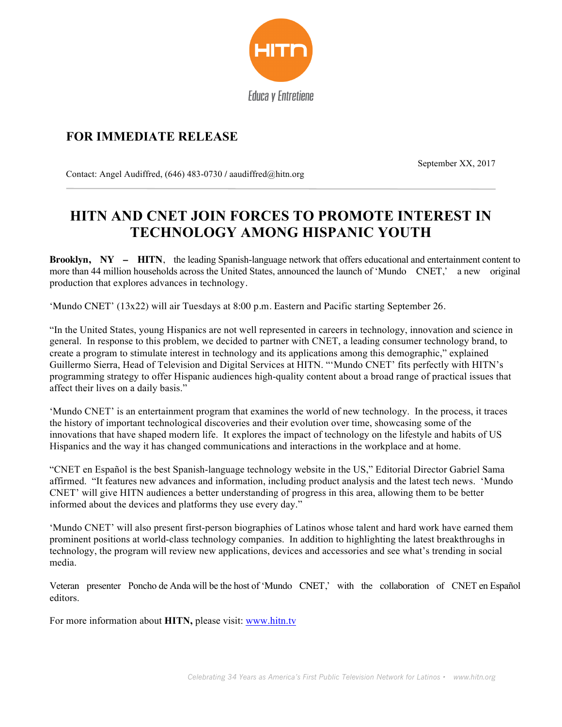

## **FOR IMMEDIATE RELEASE**

September XX, 2017

Contact: Angel Audiffred, (646) 483-0730 **/** aaudiffred@hitn.org

## **HITN AND CNET JOIN FORCES TO PROMOTE INTEREST IN TECHNOLOGY AMONG HISPANIC YOUTH**

**Brooklyn, NY – HITN**, the leading Spanish-language network that offers educational and entertainment content to more than 44 million households across the United States, announced the launch of 'Mundo CNET,' a new original production that explores advances in technology.

'Mundo CNET' (13x22) will air Tuesdays at 8:00 p.m. Eastern and Pacific starting September 26.

"In the United States, young Hispanics are not well represented in careers in technology, innovation and science in general. In response to this problem, we decided to partner with CNET, a leading consumer technology brand, to create a program to stimulate interest in technology and its applications among this demographic," explained Guillermo Sierra, Head of Television and Digital Services at HITN. "'Mundo CNET' fits perfectly with HITN's programming strategy to offer Hispanic audiences high-quality content about a broad range of practical issues that affect their lives on a daily basis."

'Mundo CNET' is an entertainment program that examines the world of new technology. In the process, it traces the history of important technological discoveries and their evolution over time, showcasing some of the innovations that have shaped modern life. It explores the impact of technology on the lifestyle and habits of US Hispanics and the way it has changed communications and interactions in the workplace and at home.

"CNET en Español is the best Spanish-language technology website in the US," Editorial Director Gabriel Sama affirmed. "It features new advances and information, including product analysis and the latest tech news. 'Mundo CNET' will give HITN audiences a better understanding of progress in this area, allowing them to be better informed about the devices and platforms they use every day."

'Mundo CNET' will also present first-person biographies of Latinos whose talent and hard work have earned them prominent positions at world-class technology companies. In addition to highlighting the latest breakthroughs in technology, the program will review new applications, devices and accessories and see what's trending in social media.

Veteran presenter Poncho de Anda will be the host of 'Mundo CNET,' with the collaboration of CNET en Español editors.

For more information about **HITN,** please visit: www.hitn.tv